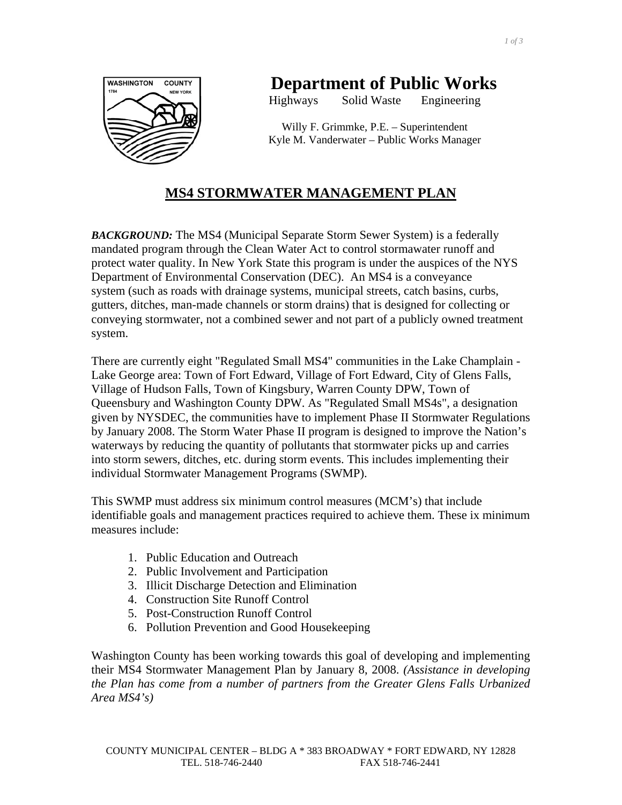

# **Department of Public Works**

Highways Solid Waste Engineering

Willy F. Grimmke, P.E. – Superintendent Kyle M. Vanderwater – Public Works Manager

# **MS4 STORMWATER MANAGEMENT PLAN**

*BACKGROUND:* The MS4 (Municipal Separate Storm Sewer System) is a federally mandated program through the Clean Water Act to control stormawater runoff and protect water quality. In New York State this program is under the auspices of the NYS Department of Environmental Conservation (DEC). An MS4 is a conveyance system (such as roads with drainage systems, municipal streets, catch basins, curbs, gutters, ditches, man-made channels or storm drains) that is designed for collecting or conveying stormwater, not a combined sewer and not part of a publicly owned treatment system.

There are currently eight "Regulated Small MS4" communities in the Lake Champlain - Lake George area: Town of Fort Edward, Village of Fort Edward, City of Glens Falls, Village of Hudson Falls, Town of Kingsbury, Warren County DPW, Town of Queensbury and Washington County DPW. As "Regulated Small MS4s", a designation given by NYSDEC, the communities have to implement Phase II Stormwater Regulations by January 2008. The Storm Water Phase II program is designed to improve the Nation's waterways by reducing the quantity of pollutants that stormwater picks up and carries into storm sewers, ditches, etc. during storm events. This includes implementing their individual Stormwater Management Programs (SWMP).

This SWMP must address six minimum control measures (MCM's) that include identifiable goals and management practices required to achieve them. These ix minimum measures include:

- 1. Public Education and Outreach
- 2. Public Involvement and Participation
- 3. Illicit Discharge Detection and Elimination
- 4. Construction Site Runoff Control
- 5. Post-Construction Runoff Control
- 6. Pollution Prevention and Good Housekeeping

Washington County has been working towards this goal of developing and implementing their MS4 Stormwater Management Plan by January 8, 2008. *(Assistance in developing the Plan has come from a number of partners from the Greater Glens Falls Urbanized Area MS4's)*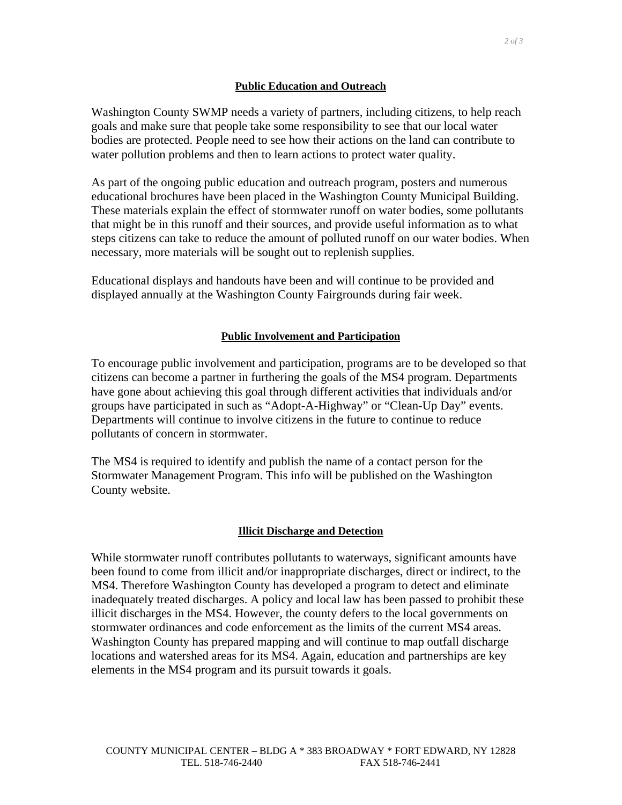## **Public Education and Outreach**

 *2 of 3* 

Washington County SWMP needs a variety of partners, including citizens, to help reach goals and make sure that people take some responsibility to see that our local water bodies are protected. People need to see how their actions on the land can contribute to water pollution problems and then to learn actions to protect water quality.

As part of the ongoing public education and outreach program, posters and numerous educational brochures have been placed in the Washington County Municipal Building. These materials explain the effect of stormwater runoff on water bodies, some pollutants that might be in this runoff and their sources, and provide useful information as to what steps citizens can take to reduce the amount of polluted runoff on our water bodies. When necessary, more materials will be sought out to replenish supplies.

Educational displays and handouts have been and will continue to be provided and displayed annually at the Washington County Fairgrounds during fair week.

# **Public Involvement and Participation**

To encourage public involvement and participation, programs are to be developed so that citizens can become a partner in furthering the goals of the MS4 program. Departments have gone about achieving this goal through different activities that individuals and/or groups have participated in such as "Adopt-A-Highway" or "Clean-Up Day" events. Departments will continue to involve citizens in the future to continue to reduce pollutants of concern in stormwater.

The MS4 is required to identify and publish the name of a contact person for the Stormwater Management Program. This info will be published on the Washington County website.

#### **Illicit Discharge and Detection**

While stormwater runoff contributes pollutants to waterways, significant amounts have been found to come from illicit and/or inappropriate discharges, direct or indirect, to the MS4. Therefore Washington County has developed a program to detect and eliminate inadequately treated discharges. A policy and local law has been passed to prohibit these illicit discharges in the MS4. However, the county defers to the local governments on stormwater ordinances and code enforcement as the limits of the current MS4 areas. Washington County has prepared mapping and will continue to map outfall discharge locations and watershed areas for its MS4. Again, education and partnerships are key elements in the MS4 program and its pursuit towards it goals.